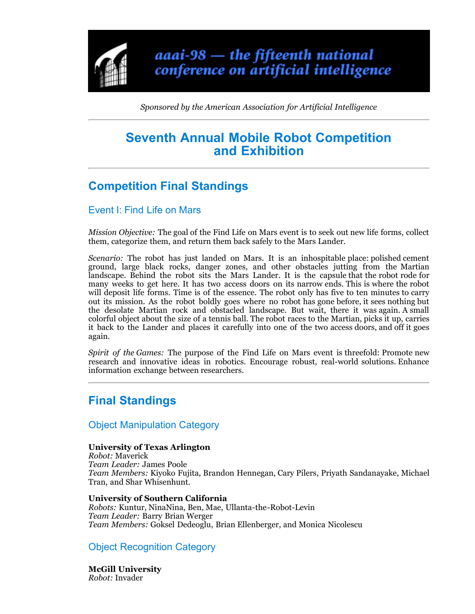

*Sponsored by the American Association for Artificial Intelligence*

# **Seventh Annual Mobile Robot Competition and Exhibition**

# **Competition Final Standings**

## Event I: Find Life on Mars

*Mission Objective:* The goal of the Find Life on Mars event is to seek out new life forms, collect them, categorize them, and return them back safely to the Mars Lander.

*Scenario:* The robot has just landed on Mars. It is an inhospitable place: polished cement ground, large black rocks, danger zones, and other obstacles jutting from the Martian landscape. Behind the robot sits the Mars Lander. It is the capsule that the robot rode for many weeks to get here. It has two access doors on its narrow ends. This is where the robot will deposit life forms. Time is of the essence. The robot only has five to ten minutes to carry out its mission. As the robot boldly goes where no robot has gone before, it sees nothing but the desolate Martian rock and obstacled landscape. But wait, there it was again. A small colorful object about the size of a tennis ball. The robot races to the Martian, picks it up, carries it back to the Lander and places it carefully into one of the two access doors, and off it goes again.

*Spirit of the Games:* The purpose of the Find Life on Mars event is threefold: Promote new research and innovative ideas in robotics. Encourage robust, real-world solutions. Enhance information exchange between researchers.

## **Final Standings**

Object Manipulation Category

## **University of Texas Arlington**

*Robot:* Maverick *Team Leader:* James Poole *Team Members:* Kiyoko Fujita, Brandon Hennegan, Cary Pilers, Priyath Sandanayake, Michael Tran, and Shar Whisenhunt.

## **University of Southern California**

*Robots:* Kuntur, NinaNina, Ben, Mae, Ullanta-the-Robot-Levin *Team Leader:* Barry Brian Werger *Team Members:* Goksel Dedeoglu, Brian Ellenberger, and Monica Nicolescu

## Object Recognition Category

**McGill University** *Robot:* Invader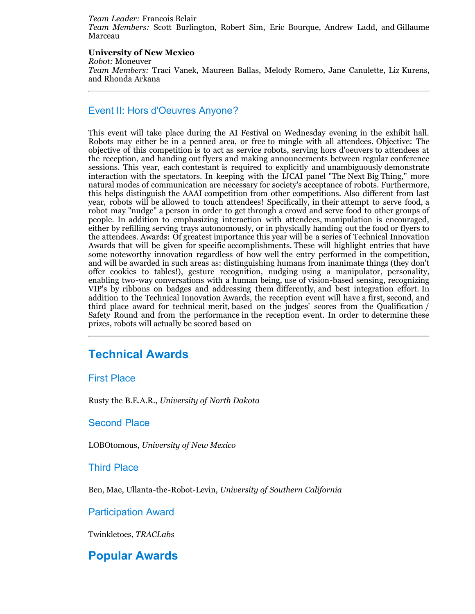#### *Team Leader:* Francois Belair

*Team Members:* Scott Burlington, Robert Sim, Eric Bourque, Andrew Ladd, and Gillaume Marceau

#### **University of New Mexico**

*Robot:* Moneuver

*Team Members:* Traci Vanek, Maureen Ballas, Melody Romero, Jane Canulette, Liz Kurens, and Rhonda Arkana

## Event II: Hors d'Oeuvres Anyone?

This event will take place during the AI Festival on Wednesday evening in the exhibit hall. Robots may either be in a penned area, or free to mingle with all attendees. Objective: The objective of this competition is to act as service robots, serving hors d'oeuvers to attendees at the reception, and handing out flyers and making announcements between regular conference sessions. This year, each contestant is required to explicitly and unambiguously demonstrate interaction with the spectators. In keeping with the IJCAI panel "The Next Big Thing," more natural modes of communication are necessary for society's acceptance of robots. Furthermore, this helps distinguish the AAAI competition from other competitions. Also different from last year, robots will be allowed to touch attendees! Specifically, in their attempt to serve food, a robot may "nudge" a person in order to get through a crowd and serve food to other groups of people. In addition to emphasizing interaction with attendees, manipulation is encouraged, either by refilling serving trays autonomously, or in physically handing out the food or flyers to the attendees. Awards: Of greatest importance this year will be a series of Technical Innovation Awards that will be given for specific accomplishments. These will highlight entries that have some noteworthy innovation regardless of how well the entry performed in the competition, and will be awarded in such areas as: distinguishing humans from inanimate things (they don't offer cookies to tables!), gesture recognition, nudging using a manipulator, personality, enabling two-way conversations with a human being, use of vision-based sensing, recognizing VIP's by ribbons on badges and addressing them differently, and best integration effort. In addition to the Technical Innovation Awards, the reception event will have a first, second, and third place award for technical merit, based on the judges' scores from the Qualification / Safety Round and from the performance in the reception event. In order to determine these prizes, robots will actually be scored based on

## **Technical Awards**

## First Place

Rusty the B.E.A.R., *University of North Dakota*

## Second Place

LOBOtomous, *University of New Mexico*

## Third Place

Ben, Mae, Ullanta-the-Robot-Levin, *University of Southern California*

## Participation Award

Twinkletoes, *TRACLabs*

## **Popular Awards**